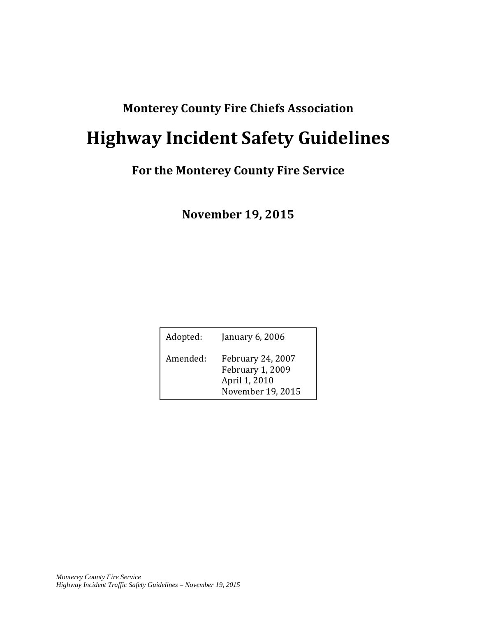### **Monterey County Fire Chiefs Association**

# **Highway Incident Safety Guidelines**

### **For the Monterey County Fire Service**

**November 19, 2015**

| Adopted: | January $6,2006$                                                                   |
|----------|------------------------------------------------------------------------------------|
| Amended: | <b>February 24, 2007</b><br>February 1, 2009<br>April 1, 2010<br>November 19, 2015 |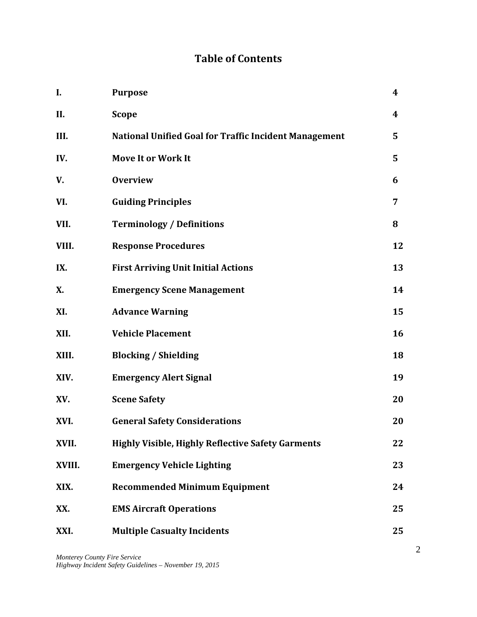### **Table of Contents**

| I.     | <b>Purpose</b>                                               | $\boldsymbol{4}$ |
|--------|--------------------------------------------------------------|------------------|
| II.    | <b>Scope</b>                                                 | 4                |
| III.   | <b>National Unified Goal for Traffic Incident Management</b> | 5                |
| IV.    | <b>Move It or Work It</b>                                    | 5                |
| V.     | <b>Overview</b>                                              | 6                |
| VI.    | <b>Guiding Principles</b>                                    | 7                |
| VII.   | <b>Terminology / Definitions</b>                             | 8                |
| VIII.  | <b>Response Procedures</b>                                   | 12               |
| IX.    | <b>First Arriving Unit Initial Actions</b>                   | 13               |
| X.     | <b>Emergency Scene Management</b>                            | 14               |
| XI.    | <b>Advance Warning</b>                                       | 15               |
| XII.   | <b>Vehicle Placement</b>                                     | 16               |
| XIII.  | <b>Blocking / Shielding</b>                                  | 18               |
| XIV.   | <b>Emergency Alert Signal</b>                                | 19               |
| XV.    | <b>Scene Safety</b>                                          | 20               |
| XVI.   | <b>General Safety Considerations</b>                         | 20               |
| XVII.  | <b>Highly Visible, Highly Reflective Safety Garments</b>     | 22               |
| XVIII. | <b>Emergency Vehicle Lighting</b>                            | 23               |
| XIX.   | <b>Recommended Minimum Equipment</b>                         | 24               |
| XX.    | <b>EMS Aircraft Operations</b>                               | 25               |
| XXI.   | <b>Multiple Casualty Incidents</b>                           | 25               |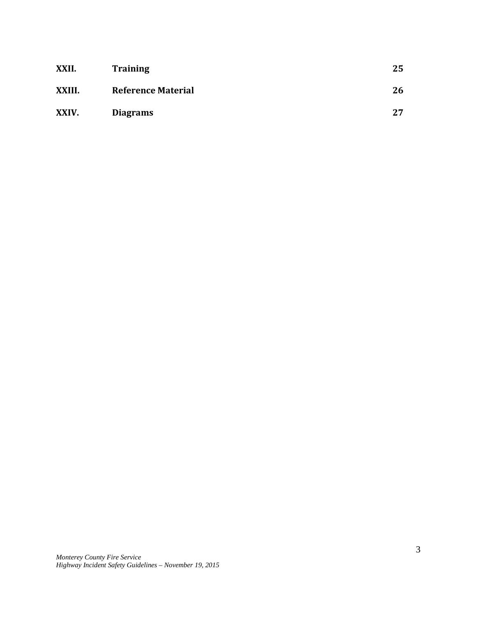| XXII.  | <b>Training</b>           | 25 |
|--------|---------------------------|----|
| XXIII. | <b>Reference Material</b> | 26 |
| XXIV.  | <b>Diagrams</b>           | 27 |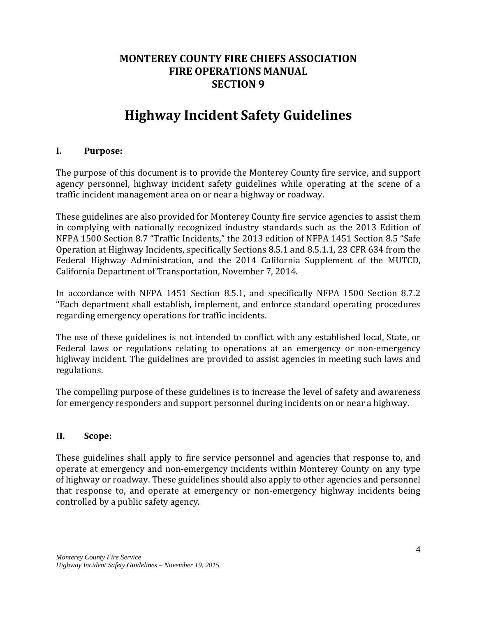#### **MONTEREY COUNTY FIRE CHIEFS ASSOCIATION FIRE OPERATIONS MANUAL SECTION 9**

# **Highway Incident Safety Guidelines**

#### **I. Purpose:**

The purpose of this document is to provide the Monterey County fire service, and support agency personnel, highway incident safety guidelines while operating at the scene of a traffic incident management area on or near a highway or roadway.

These guidelines are also provided for Monterey County fire service agencies to assist them in complying with nationally recognized industry standards such as the 2013 Edition of NFPA 1500 Section 8.7 "Traffic Incidents," the 2013 edition of NFPA 1451 Section 8.5 "Safe Operation at Highway Incidents, specifically Sections 8.5.1 and 8.5.1.1, 23 CFR 634 from the Federal Highway Administration, and the 2014 California Supplement of the MUTCD, California Department of Transportation, November 7, 2014.

In accordance with NFPA 1451 Section 8.5.1, and specifically NFPA 1500 Section 8.7.2 "Each department shall establish, implement, and enforce standard operating procedures regarding emergency operations for traffic incidents.

The use of these guidelines is not intended to conflict with any established local, State, or Federal laws or regulations relating to operations at an emergency or non-emergency highway incident. The guidelines are provided to assist agencies in meeting such laws and regulations.

The compelling purpose of these guidelines is to increase the level of safety and awareness for emergency responders and support personnel during incidents on or near a highway.

#### **II. Scope:**

These guidelines shall apply to fire service personnel and agencies that response to, and operate at emergency and non-emergency incidents within Monterey County on any type of highway or roadway. These guidelines should also apply to other agencies and personnel that response to, and operate at emergency or non-emergency highway incidents being controlled by a public safety agency.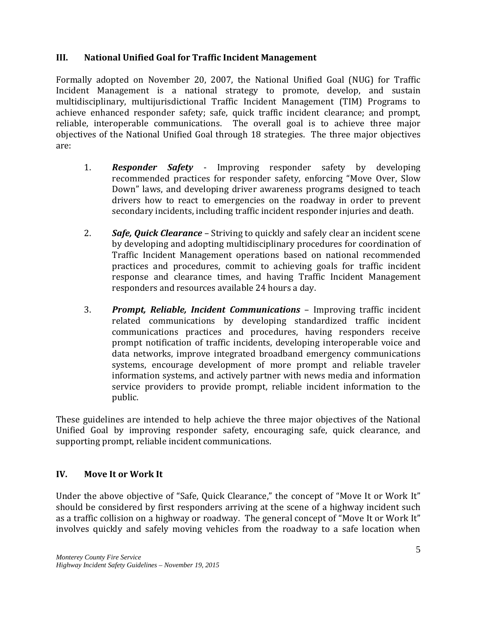#### **III. National Unified Goal for Traffic Incident Management**

Formally adopted on November 20, 2007, the National Unified Goal (NUG) for Traffic Incident Management is a national strategy to promote, develop, and sustain multidisciplinary, multijurisdictional Traffic Incident Management (TIM) Programs to achieve enhanced responder safety; safe, quick traffic incident clearance; and prompt, reliable, interoperable communications. The overall goal is to achieve three major objectives of the National Unified Goal through 18 strategies. The three major objectives are:

- 1. *Responder Safety* Improving responder safety by developing recommended practices for responder safety, enforcing "Move Over, Slow Down" laws, and developing driver awareness programs designed to teach drivers how to react to emergencies on the roadway in order to prevent secondary incidents, including traffic incident responder injuries and death.
- 2. *Safe, Quick Clearance* Striving to quickly and safely clear an incident scene by developing and adopting multidisciplinary procedures for coordination of Traffic Incident Management operations based on national recommended practices and procedures, commit to achieving goals for traffic incident response and clearance times, and having Traffic Incident Management responders and resources available 24 hours a day.
- 3. *Prompt, Reliable, Incident Communications* Improving traffic incident related communications by developing standardized traffic incident communications practices and procedures, having responders receive prompt notification of traffic incidents, developing interoperable voice and data networks, improve integrated broadband emergency communications systems, encourage development of more prompt and reliable traveler information systems, and actively partner with news media and information service providers to provide prompt, reliable incident information to the public.

These guidelines are intended to help achieve the three major objectives of the National Unified Goal by improving responder safety, encouraging safe, quick clearance, and supporting prompt, reliable incident communications.

#### **IV. Move It or Work It**

Under the above objective of "Safe, Quick Clearance," the concept of "Move It or Work It" should be considered by first responders arriving at the scene of a highway incident such as a traffic collision on a highway or roadway. The general concept of "Move It or Work It" involves quickly and safely moving vehicles from the roadway to a safe location when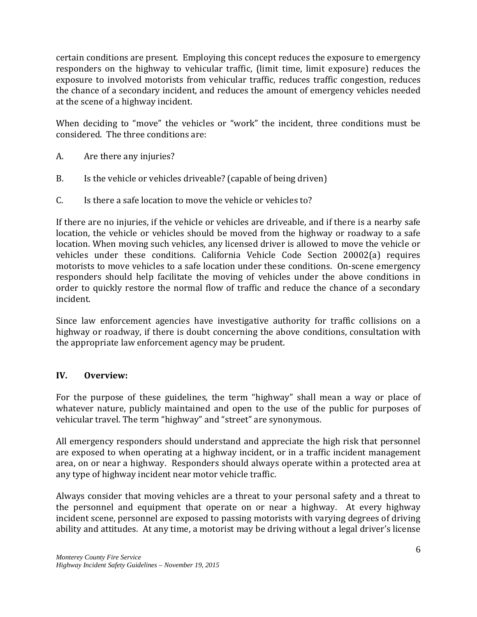certain conditions are present. Employing this concept reduces the exposure to emergency responders on the highway to vehicular traffic, (limit time, limit exposure) reduces the exposure to involved motorists from vehicular traffic, reduces traffic congestion, reduces the chance of a secondary incident, and reduces the amount of emergency vehicles needed at the scene of a highway incident.

When deciding to "move" the vehicles or "work" the incident, three conditions must be considered. The three conditions are:

- A. Are there any injuries?
- B. Is the vehicle or vehicles driveable? (capable of being driven)
- C. Is there a safe location to move the vehicle or vehicles to?

If there are no injuries, if the vehicle or vehicles are driveable, and if there is a nearby safe location, the vehicle or vehicles should be moved from the highway or roadway to a safe location. When moving such vehicles, any licensed driver is allowed to move the vehicle or vehicles under these conditions. California Vehicle Code Section 20002(a) requires motorists to move vehicles to a safe location under these conditions. On-scene emergency responders should help facilitate the moving of vehicles under the above conditions in order to quickly restore the normal flow of traffic and reduce the chance of a secondary incident.

Since law enforcement agencies have investigative authority for traffic collisions on a highway or roadway, if there is doubt concerning the above conditions, consultation with the appropriate law enforcement agency may be prudent.

#### **IV. Overview:**

For the purpose of these guidelines, the term "highway" shall mean a way or place of whatever nature, publicly maintained and open to the use of the public for purposes of vehicular travel. The term "highway" and "street" are synonymous.

All emergency responders should understand and appreciate the high risk that personnel are exposed to when operating at a highway incident, or in a traffic incident management area, on or near a highway. Responders should always operate within a protected area at any type of highway incident near motor vehicle traffic.

Always consider that moving vehicles are a threat to your personal safety and a threat to the personnel and equipment that operate on or near a highway. At every highway incident scene, personnel are exposed to passing motorists with varying degrees of driving ability and attitudes. At any time, a motorist may be driving without a legal driver's license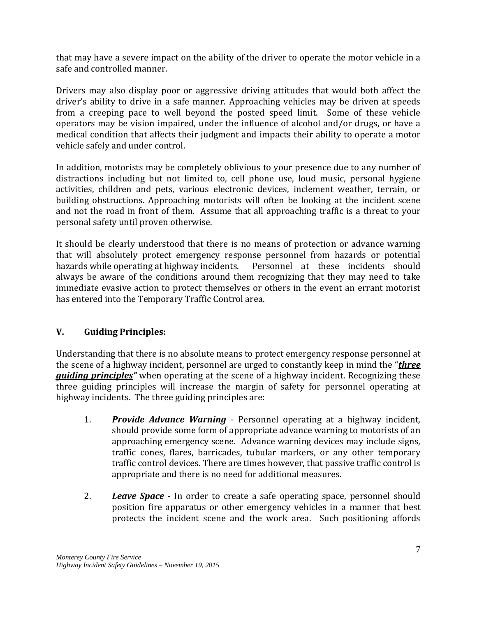that may have a severe impact on the ability of the driver to operate the motor vehicle in a safe and controlled manner.

Drivers may also display poor or aggressive driving attitudes that would both affect the driver's ability to drive in a safe manner. Approaching vehicles may be driven at speeds from a creeping pace to well beyond the posted speed limit. Some of these vehicle operators may be vision impaired, under the influence of alcohol and/or drugs, or have a medical condition that affects their judgment and impacts their ability to operate a motor vehicle safely and under control.

In addition, motorists may be completely oblivious to your presence due to any number of distractions including but not limited to, cell phone use, loud music, personal hygiene activities, children and pets, various electronic devices, inclement weather, terrain, or building obstructions. Approaching motorists will often be looking at the incident scene and not the road in front of them. Assume that all approaching traffic is a threat to your personal safety until proven otherwise.

It should be clearly understood that there is no means of protection or advance warning that will absolutely protect emergency response personnel from hazards or potential hazards while operating at highway incidents. Personnel at these incidents should hazards while operating at highway incidents. always be aware of the conditions around them recognizing that they may need to take immediate evasive action to protect themselves or others in the event an errant motorist has entered into the Temporary Traffic Control area.

#### **V. Guiding Principles:**

Understanding that there is no absolute means to protect emergency response personnel at the scene of a highway incident, personnel are urged to constantly keep in mind the "*three guiding principles"* when operating at the scene of a highway incident. Recognizing these three guiding principles will increase the margin of safety for personnel operating at highway incidents. The three guiding principles are:

- 1. *Provide Advance Warning -* Personnel operating at a highway incident, should provide some form of appropriate advance warning to motorists of an approaching emergency scene. Advance warning devices may include signs, traffic cones, flares, barricades, tubular markers, or any other temporary traffic control devices. There are times however, that passive traffic control is appropriate and there is no need for additional measures.
- 2. *Leave Space -* In order to create a safe operating space, personnel should position fire apparatus or other emergency vehicles in a manner that best protects the incident scene and the work area. Such positioning affords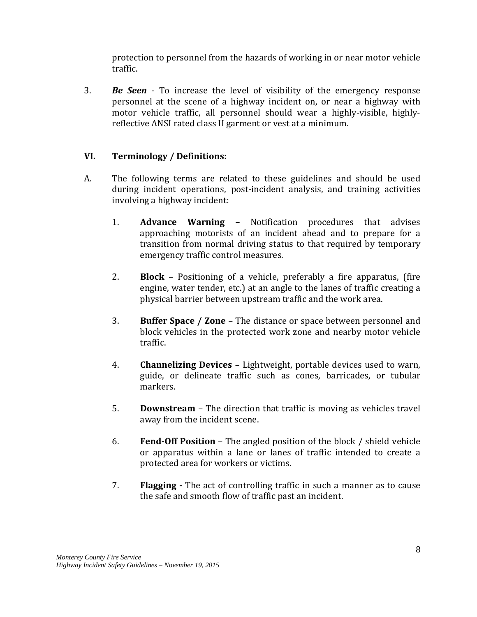protection to personnel from the hazards of working in or near motor vehicle traffic.

3. *Be Seen -* To increase the level of visibility of the emergency response personnel at the scene of a highway incident on, or near a highway with motor vehicle traffic, all personnel should wear a highly-visible, highlyreflective ANSI rated class II garment or vest at a minimum.

#### **VI. Terminology / Definitions:**

- A. The following terms are related to these guidelines and should be used during incident operations, post-incident analysis, and training activities involving a highway incident:
	- 1. **Advance Warning –** Notification procedures that advises approaching motorists of an incident ahead and to prepare for a transition from normal driving status to that required by temporary emergency traffic control measures.
	- 2. **Block** Positioning of a vehicle, preferably a fire apparatus, (fire engine, water tender, etc.) at an angle to the lanes of traffic creating a physical barrier between upstream traffic and the work area.
	- 3. **Buffer Space / Zone** The distance or space between personnel and block vehicles in the protected work zone and nearby motor vehicle traffic.
	- 4. **Channelizing Devices –** Lightweight, portable devices used to warn, guide, or delineate traffic such as cones, barricades, or tubular markers.
	- 5. **Downstream** The direction that traffic is moving as vehicles travel away from the incident scene.
	- 6. **Fend-Off Position** The angled position of the block / shield vehicle or apparatus within a lane or lanes of traffic intended to create a protected area for workers or victims.
	- 7. **Flagging -** The act of controlling traffic in such a manner as to cause the safe and smooth flow of traffic past an incident.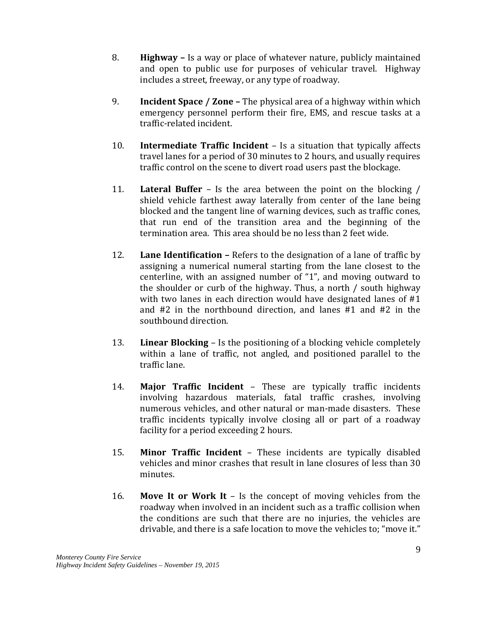- 8. **Highway –** Is a way or place of whatever nature, publicly maintained and open to public use for purposes of vehicular travel. Highway includes a street, freeway, or any type of roadway.
- 9. **Incident Space / Zone –** The physical area of a highway within which emergency personnel perform their fire, EMS, and rescue tasks at a traffic-related incident.
- 10. **Intermediate Traffic Incident** Is a situation that typically affects travel lanes for a period of 30 minutes to 2 hours, and usually requires traffic control on the scene to divert road users past the blockage.
- 11. **Lateral Buffer** Is the area between the point on the blocking / shield vehicle farthest away laterally from center of the lane being blocked and the tangent line of warning devices, such as traffic cones, that run end of the transition area and the beginning of the termination area. This area should be no less than 2 feet wide.
- 12. **Lane Identification –** Refers to the designation of a lane of traffic by assigning a numerical numeral starting from the lane closest to the centerline, with an assigned number of "1", and moving outward to the shoulder or curb of the highway. Thus, a north / south highway with two lanes in each direction would have designated lanes of #1 and #2 in the northbound direction, and lanes #1 and #2 in the southbound direction.
- 13. **Linear Blocking** Is the positioning of a blocking vehicle completely within a lane of traffic, not angled, and positioned parallel to the traffic lane.
- 14. **Major Traffic Incident** These are typically traffic incidents involving hazardous materials, fatal traffic crashes, involving numerous vehicles, and other natural or man-made disasters. These traffic incidents typically involve closing all or part of a roadway facility for a period exceeding 2 hours.
- 15. **Minor Traffic Incident** These incidents are typically disabled vehicles and minor crashes that result in lane closures of less than 30 minutes.
- 16. **Move It or Work It** Is the concept of moving vehicles from the roadway when involved in an incident such as a traffic collision when the conditions are such that there are no injuries, the vehicles are drivable, and there is a safe location to move the vehicles to; "move it."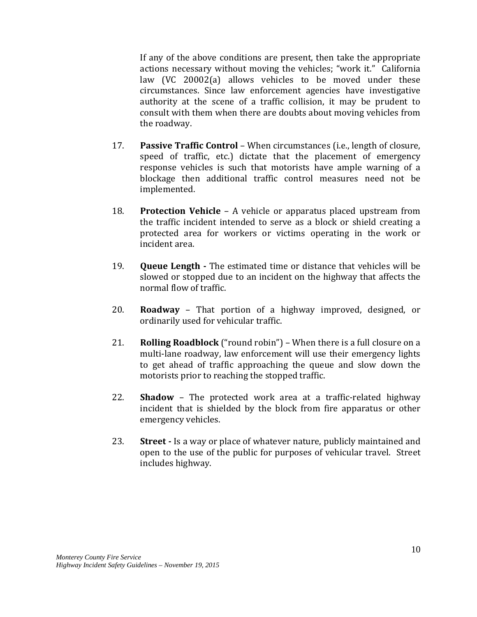If any of the above conditions are present, then take the appropriate actions necessary without moving the vehicles; "work it." California law (VC 20002(a) allows vehicles to be moved under these circumstances. Since law enforcement agencies have investigative authority at the scene of a traffic collision, it may be prudent to consult with them when there are doubts about moving vehicles from the roadway.

- 17. **Passive Traffic Control** When circumstances (i.e., length of closure, speed of traffic, etc.) dictate that the placement of emergency response vehicles is such that motorists have ample warning of a blockage then additional traffic control measures need not be implemented.
- 18. **Protection Vehicle** A vehicle or apparatus placed upstream from the traffic incident intended to serve as a block or shield creating a protected area for workers or victims operating in the work or incident area.
- 19. **Queue Length -** The estimated time or distance that vehicles will be slowed or stopped due to an incident on the highway that affects the normal flow of traffic.
- 20. **Roadway** That portion of a highway improved, designed, or ordinarily used for vehicular traffic.
- 21. **Rolling Roadblock** ("round robin") When there is a full closure on a multi-lane roadway, law enforcement will use their emergency lights to get ahead of traffic approaching the queue and slow down the motorists prior to reaching the stopped traffic.
- 22. **Shadow** The protected work area at a traffic-related highway incident that is shielded by the block from fire apparatus or other emergency vehicles.
- 23. **Street -** Is a way or place of whatever nature, publicly maintained and open to the use of the public for purposes of vehicular travel. Street includes highway.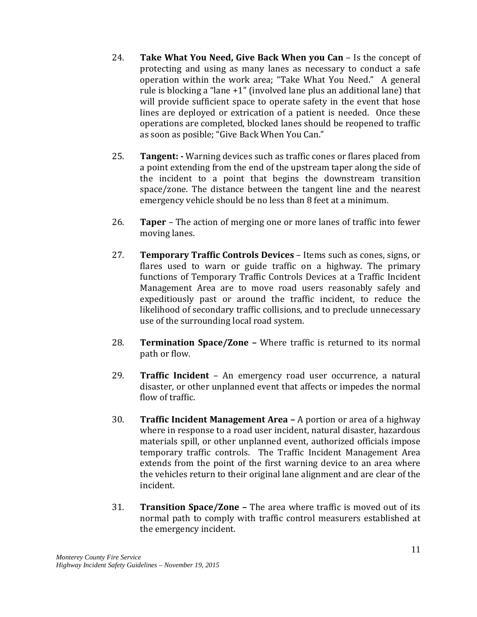- 24. **Take What You Need, Give Back When you Can** Is the concept of protecting and using as many lanes as necessary to conduct a safe operation within the work area; "Take What You Need." A general rule is blocking a "lane +1" (involved lane plus an additional lane) that will provide sufficient space to operate safety in the event that hose lines are deployed or extrication of a patient is needed. Once these operations are completed, blocked lanes should be reopened to traffic as soon as posible; "Give Back When You Can."
- 25. **Tangent: -** Warning devices such as traffic cones or flares placed from a point extending from the end of the upstream taper along the side of the incident to a point that begins the downstream transition space/zone. The distance between the tangent line and the nearest emergency vehicle should be no less than 8 feet at a minimum.
- 26. **Taper** The action of merging one or more lanes of traffic into fewer moving lanes.
- 27. **Temporary Traffic Controls Devices**  Items such as cones, signs, or flares used to warn or guide traffic on a highway. The primary functions of Temporary Traffic Controls Devices at a Traffic Incident Management Area are to move road users reasonably safely and expeditiously past or around the traffic incident, to reduce the likelihood of secondary traffic collisions, and to preclude unnecessary use of the surrounding local road system.
- 28. **Termination Space/Zone –** Where traffic is returned to its normal path or flow.
- 29. **Traffic Incident** An emergency road user occurrence, a natural disaster, or other unplanned event that affects or impedes the normal flow of traffic.
- 30. **Traffic Incident Management Area –** A portion or area of a highway where in response to a road user incident, natural disaster, hazardous materials spill, or other unplanned event, authorized officials impose temporary traffic controls. The Traffic Incident Management Area extends from the point of the first warning device to an area where the vehicles return to their original lane alignment and are clear of the incident.
- 31. **Transition Space/Zone –** The area where traffic is moved out of its normal path to comply with traffic control measurers established at the emergency incident.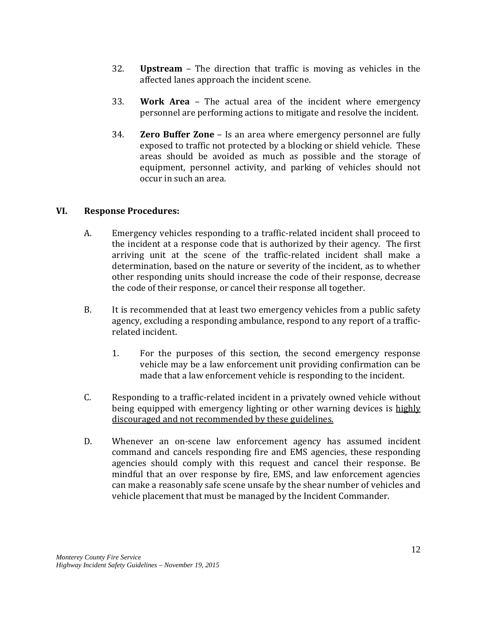- 32. **Upstream** The direction that traffic is moving as vehicles in the affected lanes approach the incident scene.
- 33. **Work Area** The actual area of the incident where emergency personnel are performing actions to mitigate and resolve the incident.
- 34. **Zero Buffer Zone** Is an area where emergency personnel are fully exposed to traffic not protected by a blocking or shield vehicle. These areas should be avoided as much as possible and the storage of equipment, personnel activity, and parking of vehicles should not occur in such an area.

#### **VI. Response Procedures:**

- A. Emergency vehicles responding to a traffic-related incident shall proceed to the incident at a response code that is authorized by their agency. The first arriving unit at the scene of the traffic-related incident shall make a determination, based on the nature or severity of the incident, as to whether other responding units should increase the code of their response, decrease the code of their response, or cancel their response all together.
- B. It is recommended that at least two emergency vehicles from a public safety agency, excluding a responding ambulance, respond to any report of a trafficrelated incident.
	- 1. For the purposes of this section, the second emergency response vehicle may be a law enforcement unit providing confirmation can be made that a law enforcement vehicle is responding to the incident.
- C. Responding to a traffic-related incident in a privately owned vehicle without being equipped with emergency lighting or other warning devices is highly discouraged and not recommended by these guidelines.
- D. Whenever an on-scene law enforcement agency has assumed incident command and cancels responding fire and EMS agencies, these responding agencies should comply with this request and cancel their response. Be mindful that an over response by fire, EMS, and law enforcement agencies can make a reasonably safe scene unsafe by the shear number of vehicles and vehicle placement that must be managed by the Incident Commander.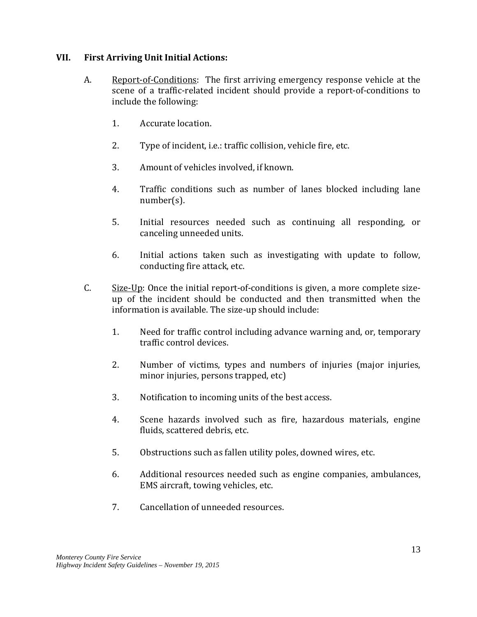#### **VII. First Arriving Unit Initial Actions:**

- A. Report-of-Conditions: The first arriving emergency response vehicle at the scene of a traffic-related incident should provide a report-of-conditions to include the following:
	- 1. Accurate location.
	- 2. Type of incident, i.e.: traffic collision, vehicle fire, etc.
	- 3. Amount of vehicles involved, if known.
	- 4. Traffic conditions such as number of lanes blocked including lane number(s).
	- 5. Initial resources needed such as continuing all responding, or canceling unneeded units.
	- 6. Initial actions taken such as investigating with update to follow, conducting fire attack, etc.
- C. Size-Up: Once the initial report-of-conditions is given, a more complete sizeup of the incident should be conducted and then transmitted when the information is available. The size-up should include:
	- 1. Need for traffic control including advance warning and, or, temporary traffic control devices.
	- 2. Number of victims, types and numbers of injuries (major injuries, minor injuries, persons trapped, etc)
	- 3. Notification to incoming units of the best access.
	- 4. Scene hazards involved such as fire, hazardous materials, engine fluids, scattered debris, etc.
	- 5. Obstructions such as fallen utility poles, downed wires, etc.
	- 6. Additional resources needed such as engine companies, ambulances, EMS aircraft, towing vehicles, etc.
	- 7. Cancellation of unneeded resources.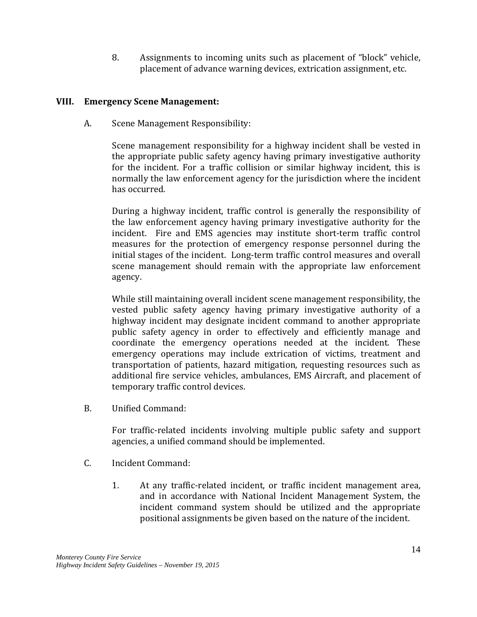8. Assignments to incoming units such as placement of "block" vehicle, placement of advance warning devices, extrication assignment, etc.

#### **VIII. Emergency Scene Management:**

A. Scene Management Responsibility:

Scene management responsibility for a highway incident shall be vested in the appropriate public safety agency having primary investigative authority for the incident. For a traffic collision or similar highway incident, this is normally the law enforcement agency for the jurisdiction where the incident has occurred.

During a highway incident, traffic control is generally the responsibility of the law enforcement agency having primary investigative authority for the incident. Fire and EMS agencies may institute short-term traffic control measures for the protection of emergency response personnel during the initial stages of the incident. Long-term traffic control measures and overall scene management should remain with the appropriate law enforcement agency.

While still maintaining overall incident scene management responsibility, the vested public safety agency having primary investigative authority of a highway incident may designate incident command to another appropriate public safety agency in order to effectively and efficiently manage and coordinate the emergency operations needed at the incident. These emergency operations may include extrication of victims, treatment and transportation of patients, hazard mitigation, requesting resources such as additional fire service vehicles, ambulances, EMS Aircraft, and placement of temporary traffic control devices.

B. Unified Command:

For traffic-related incidents involving multiple public safety and support agencies, a unified command should be implemented.

- C. Incident Command:
	- 1. At any traffic-related incident, or traffic incident management area, and in accordance with National Incident Management System, the incident command system should be utilized and the appropriate positional assignments be given based on the nature of the incident.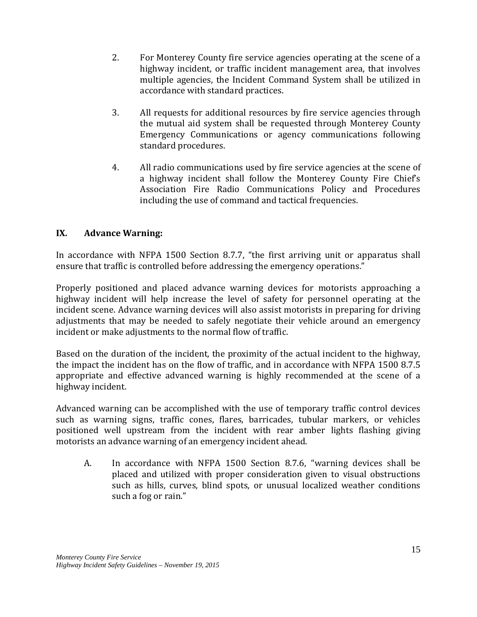- 2. For Monterey County fire service agencies operating at the scene of a highway incident, or traffic incident management area, that involves multiple agencies, the Incident Command System shall be utilized in accordance with standard practices.
- 3. All requests for additional resources by fire service agencies through the mutual aid system shall be requested through Monterey County Emergency Communications or agency communications following standard procedures.
- 4. All radio communications used by fire service agencies at the scene of a highway incident shall follow the Monterey County Fire Chief's Association Fire Radio Communications Policy and Procedures including the use of command and tactical frequencies.

#### **IX. Advance Warning:**

In accordance with NFPA 1500 Section 8.7.7, "the first arriving unit or apparatus shall ensure that traffic is controlled before addressing the emergency operations."

Properly positioned and placed advance warning devices for motorists approaching a highway incident will help increase the level of safety for personnel operating at the incident scene. Advance warning devices will also assist motorists in preparing for driving adjustments that may be needed to safely negotiate their vehicle around an emergency incident or make adjustments to the normal flow of traffic.

Based on the duration of the incident, the proximity of the actual incident to the highway, the impact the incident has on the flow of traffic, and in accordance with NFPA 1500 8.7.5 appropriate and effective advanced warning is highly recommended at the scene of a highway incident.

Advanced warning can be accomplished with the use of temporary traffic control devices such as warning signs, traffic cones, flares, barricades, tubular markers, or vehicles positioned well upstream from the incident with rear amber lights flashing giving motorists an advance warning of an emergency incident ahead.

A. In accordance with NFPA 1500 Section 8.7.6, "warning devices shall be placed and utilized with proper consideration given to visual obstructions such as hills, curves, blind spots, or unusual localized weather conditions such a fog or rain."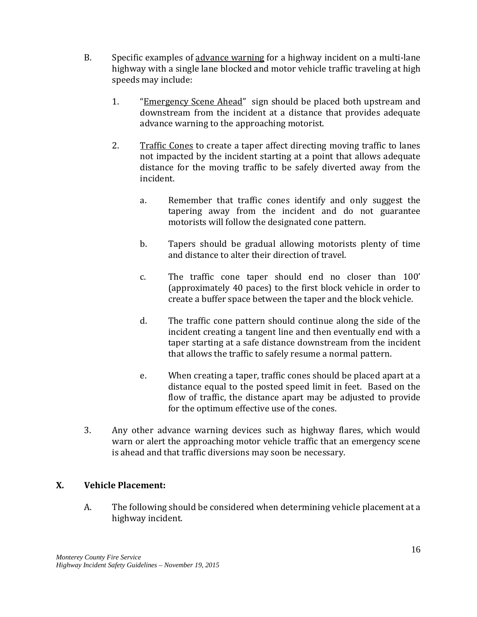- B. Specific examples of advance warning for a highway incident on a multi-lane highway with a single lane blocked and motor vehicle traffic traveling at high speeds may include:
	- 1. "Emergency Scene Ahead" sign should be placed both upstream and downstream from the incident at a distance that provides adequate advance warning to the approaching motorist.
	- 2. Traffic Cones to create a taper affect directing moving traffic to lanes not impacted by the incident starting at a point that allows adequate distance for the moving traffic to be safely diverted away from the incident.
		- a. Remember that traffic cones identify and only suggest the tapering away from the incident and do not guarantee motorists will follow the designated cone pattern.
		- b. Tapers should be gradual allowing motorists plenty of time and distance to alter their direction of travel.
		- c. The traffic cone taper should end no closer than 100' (approximately 40 paces) to the first block vehicle in order to create a buffer space between the taper and the block vehicle.
		- d. The traffic cone pattern should continue along the side of the incident creating a tangent line and then eventually end with a taper starting at a safe distance downstream from the incident that allows the traffic to safely resume a normal pattern.
		- e. When creating a taper, traffic cones should be placed apart at a distance equal to the posted speed limit in feet. Based on the flow of traffic, the distance apart may be adjusted to provide for the optimum effective use of the cones.
- 3. Any other advance warning devices such as highway flares, which would warn or alert the approaching motor vehicle traffic that an emergency scene is ahead and that traffic diversions may soon be necessary.

#### **X. Vehicle Placement:**

A. The following should be considered when determining vehicle placement at a highway incident.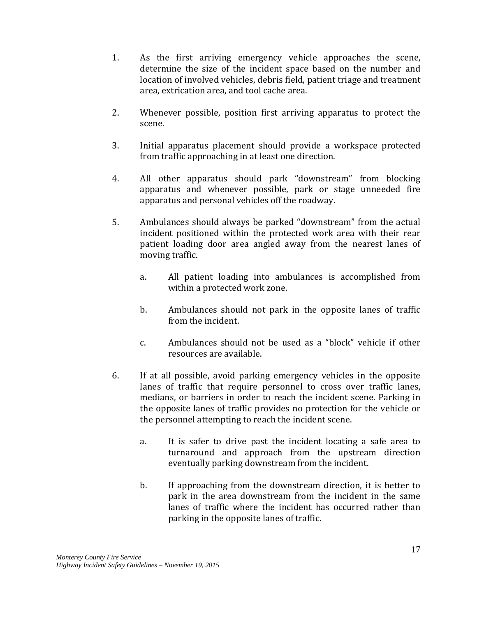- 1. As the first arriving emergency vehicle approaches the scene, determine the size of the incident space based on the number and location of involved vehicles, debris field, patient triage and treatment area, extrication area, and tool cache area.
- 2. Whenever possible, position first arriving apparatus to protect the scene.
- 3. Initial apparatus placement should provide a workspace protected from traffic approaching in at least one direction.
- 4. All other apparatus should park "downstream" from blocking apparatus and whenever possible, park or stage unneeded fire apparatus and personal vehicles off the roadway.
- 5. Ambulances should always be parked "downstream" from the actual incident positioned within the protected work area with their rear patient loading door area angled away from the nearest lanes of moving traffic.
	- a. All patient loading into ambulances is accomplished from within a protected work zone.
	- b. Ambulances should not park in the opposite lanes of traffic from the incident.
	- c. Ambulances should not be used as a "block" vehicle if other resources are available.
- 6. If at all possible, avoid parking emergency vehicles in the opposite lanes of traffic that require personnel to cross over traffic lanes, medians, or barriers in order to reach the incident scene. Parking in the opposite lanes of traffic provides no protection for the vehicle or the personnel attempting to reach the incident scene.
	- a. It is safer to drive past the incident locating a safe area to turnaround and approach from the upstream direction eventually parking downstream from the incident.
	- b. If approaching from the downstream direction, it is better to park in the area downstream from the incident in the same lanes of traffic where the incident has occurred rather than parking in the opposite lanes of traffic.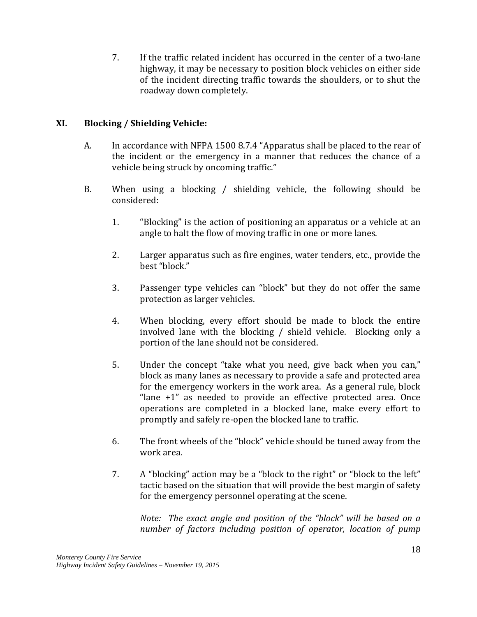7. If the traffic related incident has occurred in the center of a two-lane highway, it may be necessary to position block vehicles on either side of the incident directing traffic towards the shoulders, or to shut the roadway down completely.

#### **XI. Blocking / Shielding Vehicle:**

- A. In accordance with NFPA 1500 8.7.4 "Apparatus shall be placed to the rear of the incident or the emergency in a manner that reduces the chance of a vehicle being struck by oncoming traffic."
- B. When using a blocking / shielding vehicle, the following should be considered:
	- 1. "Blocking" is the action of positioning an apparatus or a vehicle at an angle to halt the flow of moving traffic in one or more lanes.
	- 2. Larger apparatus such as fire engines, water tenders, etc., provide the best "block."
	- 3. Passenger type vehicles can "block" but they do not offer the same protection as larger vehicles.
	- 4. When blocking, every effort should be made to block the entire involved lane with the blocking / shield vehicle. Blocking only a portion of the lane should not be considered.
	- 5. Under the concept "take what you need, give back when you can," block as many lanes as necessary to provide a safe and protected area for the emergency workers in the work area. As a general rule, block "lane +1" as needed to provide an effective protected area. Once operations are completed in a blocked lane, make every effort to promptly and safely re-open the blocked lane to traffic.
	- 6. The front wheels of the "block" vehicle should be tuned away from the work area.
	- 7. A "blocking" action may be a "block to the right" or "block to the left" tactic based on the situation that will provide the best margin of safety for the emergency personnel operating at the scene.

*Note: The exact angle and position of the "block" will be based on a number of factors including position of operator, location of pump*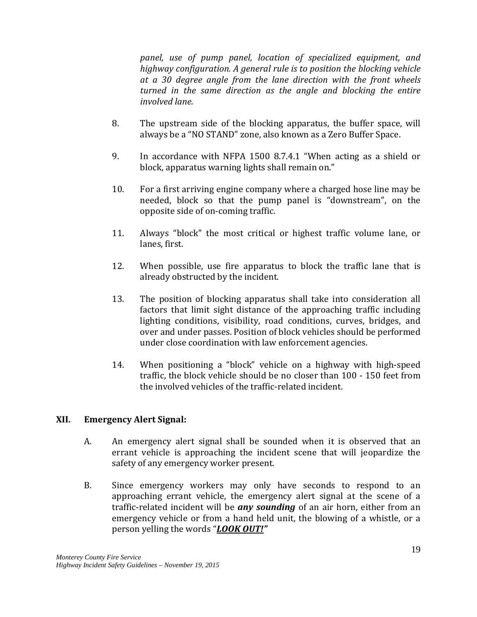*panel, use of pump panel, location of specialized equipment, and highway configuration. A general rule is to position the blocking vehicle at a 30 degree angle from the lane direction with the front wheels turned in the same direction as the angle and blocking the entire involved lane.*

- 8. The upstream side of the blocking apparatus, the buffer space, will always be a "NO STAND" zone, also known as a Zero Buffer Space.
- 9. In accordance with NFPA 1500 8.7.4.1 "When acting as a shield or block, apparatus warning lights shall remain on."
- 10. For a first arriving engine company where a charged hose line may be needed, block so that the pump panel is "downstream", on the opposite side of on-coming traffic.
- 11. Always "block" the most critical or highest traffic volume lane, or lanes, first.
- 12. When possible, use fire apparatus to block the traffic lane that is already obstructed by the incident.
- 13. The position of blocking apparatus shall take into consideration all factors that limit sight distance of the approaching traffic including lighting conditions, visibility, road conditions, curves, bridges, and over and under passes. Position of block vehicles should be performed under close coordination with law enforcement agencies.
- 14. When positioning a "block" vehicle on a highway with high-speed traffic, the block vehicle should be no closer than 100 - 150 feet from the involved vehicles of the traffic-related incident.

#### **XII. Emergency Alert Signal:**

- A. An emergency alert signal shall be sounded when it is observed that an errant vehicle is approaching the incident scene that will jeopardize the safety of any emergency worker present.
- B. Since emergency workers may only have seconds to respond to an approaching errant vehicle, the emergency alert signal at the scene of a traffic-related incident will be *any sounding* of an air horn, either from an emergency vehicle or from a hand held unit, the blowing of a whistle, or a person yelling the words "*LOOK OUT!"*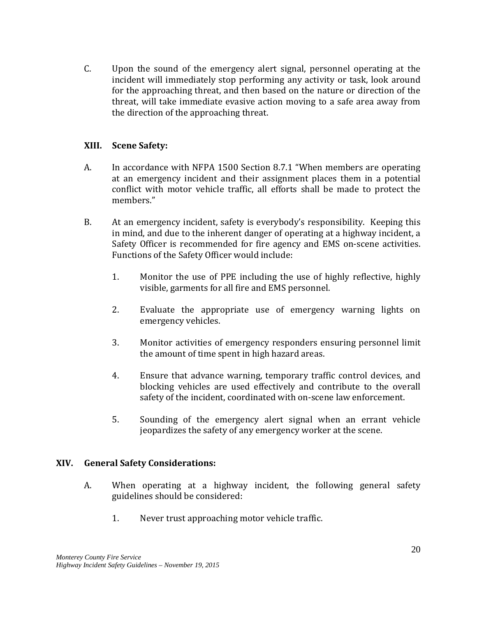C. Upon the sound of the emergency alert signal, personnel operating at the incident will immediately stop performing any activity or task, look around for the approaching threat, and then based on the nature or direction of the threat, will take immediate evasive action moving to a safe area away from the direction of the approaching threat.

#### **XIII. Scene Safety:**

- A. In accordance with NFPA 1500 Section 8.7.1 "When members are operating at an emergency incident and their assignment places them in a potential conflict with motor vehicle traffic, all efforts shall be made to protect the members<sup>"</sup>
- B. At an emergency incident, safety is everybody's responsibility. Keeping this in mind, and due to the inherent danger of operating at a highway incident, a Safety Officer is recommended for fire agency and EMS on-scene activities. Functions of the Safety Officer would include:
	- 1. Monitor the use of PPE including the use of highly reflective, highly visible, garments for all fire and EMS personnel.
	- 2. Evaluate the appropriate use of emergency warning lights on emergency vehicles.
	- 3. Monitor activities of emergency responders ensuring personnel limit the amount of time spent in high hazard areas.
	- 4. Ensure that advance warning, temporary traffic control devices, and blocking vehicles are used effectively and contribute to the overall safety of the incident, coordinated with on-scene law enforcement.
	- 5. Sounding of the emergency alert signal when an errant vehicle jeopardizes the safety of any emergency worker at the scene.

#### **XIV. General Safety Considerations:**

- A. When operating at a highway incident, the following general safety guidelines should be considered:
	- 1. Never trust approaching motor vehicle traffic.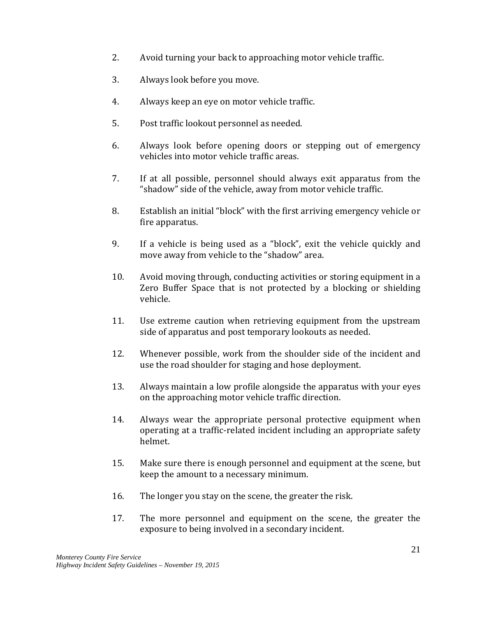- 2. Avoid turning your back to approaching motor vehicle traffic.
- 3. Always look before you move.
- 4. Always keep an eye on motor vehicle traffic.
- 5. Post traffic lookout personnel as needed.
- 6. Always look before opening doors or stepping out of emergency vehicles into motor vehicle traffic areas.
- 7. If at all possible, personnel should always exit apparatus from the "shadow" side of the vehicle, away from motor vehicle traffic.
- 8. Establish an initial "block" with the first arriving emergency vehicle or fire apparatus.
- 9. If a vehicle is being used as a "block", exit the vehicle quickly and move away from vehicle to the "shadow" area.
- 10. Avoid moving through, conducting activities or storing equipment in a Zero Buffer Space that is not protected by a blocking or shielding vehicle.
- 11. Use extreme caution when retrieving equipment from the upstream side of apparatus and post temporary lookouts as needed.
- 12. Whenever possible, work from the shoulder side of the incident and use the road shoulder for staging and hose deployment.
- 13. Always maintain a low profile alongside the apparatus with your eyes on the approaching motor vehicle traffic direction.
- 14. Always wear the appropriate personal protective equipment when operating at a traffic-related incident including an appropriate safety helmet.
- 15. Make sure there is enough personnel and equipment at the scene, but keep the amount to a necessary minimum.
- 16. The longer you stay on the scene, the greater the risk.
- 17. The more personnel and equipment on the scene, the greater the exposure to being involved in a secondary incident.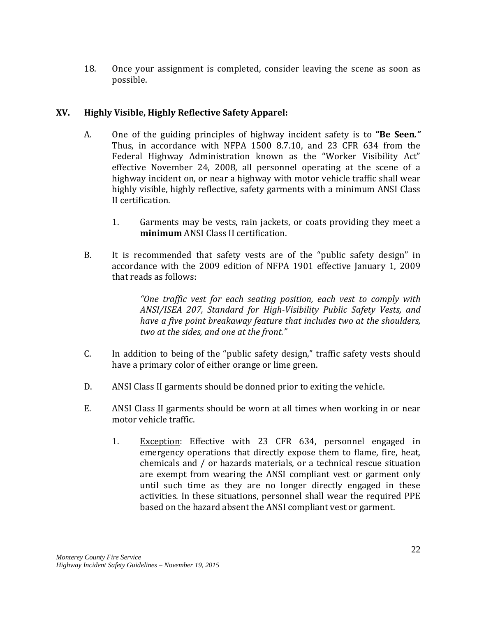18. Once your assignment is completed, consider leaving the scene as soon as possible.

#### **XV. Highly Visible, Highly Reflective Safety Apparel:**

- A. One of the guiding principles of highway incident safety is to **"Be Seen***."* Thus, in accordance with NFPA 1500 8.7.10, and 23 CFR 634 from the Federal Highway Administration known as the "Worker Visibility Act" effective November 24, 2008, all personnel operating at the scene of a highway incident on, or near a highway with motor vehicle traffic shall wear highly visible, highly reflective, safety garments with a minimum ANSI Class II certification.
	- 1. Garments may be vests, rain jackets, or coats providing they meet a **minimum** ANSI Class II certification.
- B. It is recommended that safety vests are of the "public safety design" in accordance with the 2009 edition of NFPA 1901 effective January 1, 2009 that reads as follows:

*"One traffic vest for each seating position, each vest to comply with ANSI/ISEA 207, Standard for High-Visibility Public Safety Vests, and have a five point breakaway feature that includes two at the shoulders, two at the sides, and one at the front."*

- C. In addition to being of the "public safety design," traffic safety vests should have a primary color of either orange or lime green.
- D. ANSI Class II garments should be donned prior to exiting the vehicle.
- E. ANSI Class II garments should be worn at all times when working in or near motor vehicle traffic.
	- 1. Exception: Effective with 23 CFR 634, personnel engaged in emergency operations that directly expose them to flame, fire, heat, chemicals and / or hazards materials, or a technical rescue situation are exempt from wearing the ANSI compliant vest or garment only until such time as they are no longer directly engaged in these activities. In these situations, personnel shall wear the required PPE based on the hazard absent the ANSI compliant vest or garment.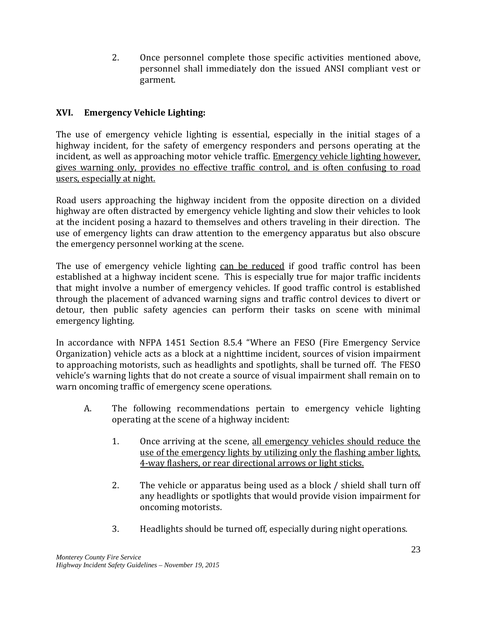2. Once personnel complete those specific activities mentioned above, personnel shall immediately don the issued ANSI compliant vest or garment.

#### **XVI. Emergency Vehicle Lighting:**

The use of emergency vehicle lighting is essential, especially in the initial stages of a highway incident, for the safety of emergency responders and persons operating at the incident, as well as approaching motor vehicle traffic. Emergency vehicle lighting however, gives warning only, provides no effective traffic control, and is often confusing to road users, especially at night.

Road users approaching the highway incident from the opposite direction on a divided highway are often distracted by emergency vehicle lighting and slow their vehicles to look at the incident posing a hazard to themselves and others traveling in their direction. The use of emergency lights can draw attention to the emergency apparatus but also obscure the emergency personnel working at the scene.

The use of emergency vehicle lighting can be reduced if good traffic control has been established at a highway incident scene. This is especially true for major traffic incidents that might involve a number of emergency vehicles. If good traffic control is established through the placement of advanced warning signs and traffic control devices to divert or detour, then public safety agencies can perform their tasks on scene with minimal emergency lighting.

In accordance with NFPA 1451 Section 8.5.4 "Where an FESO (Fire Emergency Service Organization) vehicle acts as a block at a nighttime incident, sources of vision impairment to approaching motorists, such as headlights and spotlights, shall be turned off. The FESO vehicle's warning lights that do not create a source of visual impairment shall remain on to warn oncoming traffic of emergency scene operations.

- A. The following recommendations pertain to emergency vehicle lighting operating at the scene of a highway incident:
	- 1. Once arriving at the scene, all emergency vehicles should reduce the use of the emergency lights by utilizing only the flashing amber lights, 4-way flashers, or rear directional arrows or light sticks.
	- 2. The vehicle or apparatus being used as a block / shield shall turn off any headlights or spotlights that would provide vision impairment for oncoming motorists.
	- 3. Headlights should be turned off, especially during night operations.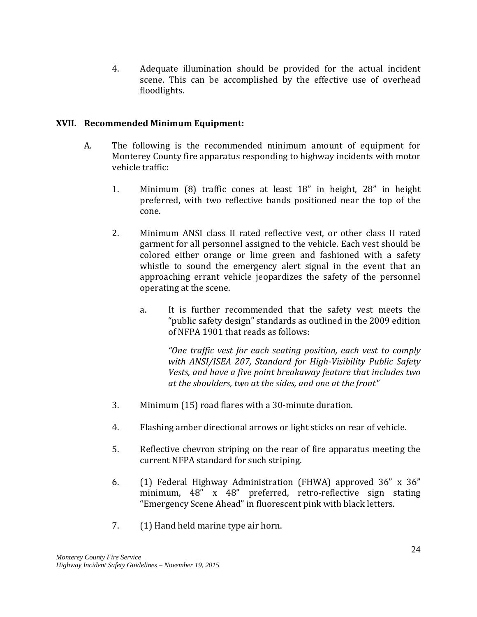4. Adequate illumination should be provided for the actual incident scene. This can be accomplished by the effective use of overhead floodlights.

#### **XVII. Recommended Minimum Equipment:**

- A. The following is the recommended minimum amount of equipment for Monterey County fire apparatus responding to highway incidents with motor vehicle traffic:
	- 1. Minimum (8) traffic cones at least 18" in height, 28" in height preferred, with two reflective bands positioned near the top of the cone.
	- 2. Minimum ANSI class II rated reflective vest, or other class II rated garment for all personnel assigned to the vehicle. Each vest should be colored either orange or lime green and fashioned with a safety whistle to sound the emergency alert signal in the event that an approaching errant vehicle jeopardizes the safety of the personnel operating at the scene.
		- a. It is further recommended that the safety vest meets the "public safety design" standards as outlined in the 2009 edition of NFPA 1901 that reads as follows:

*"One traffic vest for each seating position, each vest to comply with ANSI/ISEA 207, Standard for High-Visibility Public Safety Vests, and have a five point breakaway feature that includes two at the shoulders, two at the sides, and one at the front"*

- 3. Minimum (15) road flares with a 30-minute duration.
- 4. Flashing amber directional arrows or light sticks on rear of vehicle.
- 5. Reflective chevron striping on the rear of fire apparatus meeting the current NFPA standard for such striping.
- 6. (1) Federal Highway Administration (FHWA) approved 36" x 36" minimum, 48" x 48" preferred, retro-reflective sign stating "Emergency Scene Ahead" in fluorescent pink with black letters.
- 7. (1) Hand held marine type air horn.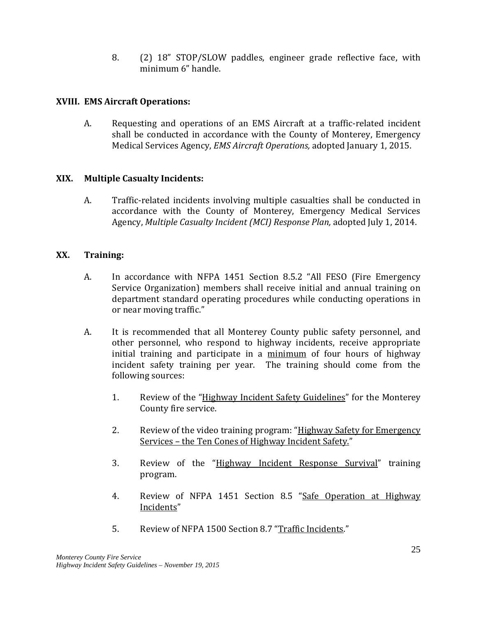8. (2) 18" STOP/SLOW paddles, engineer grade reflective face, with minimum 6" handle.

#### **XVIII. EMS Aircraft Operations:**

A. Requesting and operations of an EMS Aircraft at a traffic-related incident shall be conducted in accordance with the County of Monterey, Emergency Medical Services Agency, *EMS Aircraft Operations,* adopted January 1, 2015.

#### **XIX. Multiple Casualty Incidents:**

A. Traffic-related incidents involving multiple casualties shall be conducted in accordance with the County of Monterey, Emergency Medical Services Agency, *Multiple Casualty Incident (MCI) Response Plan,* adopted July 1, 2014.

#### **XX. Training:**

- A. In accordance with NFPA 1451 Section 8.5.2 "All FESO (Fire Emergency Service Organization) members shall receive initial and annual training on department standard operating procedures while conducting operations in or near moving traffic."
- A. It is recommended that all Monterey County public safety personnel, and other personnel, who respond to highway incidents, receive appropriate initial training and participate in a minimum of four hours of highway incident safety training per year. The training should come from the following sources:
	- 1. Review of the "Highway Incident Safety Guidelines" for the Monterey County fire service.
	- 2. Review of the video training program: "Highway Safety for Emergency Services – the Ten Cones of Highway Incident Safety."
	- 3. Review of the "Highway Incident Response Survival" training program.
	- 4. Review of NFPA 1451 Section 8.5 "Safe Operation at Highway Incidents"
	- 5. Review of NFPA 1500 Section 8.7 "Traffic Incidents."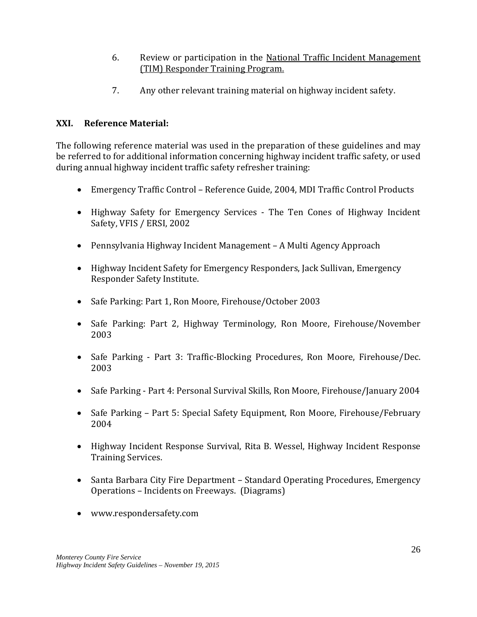- 6. Review or participation in the National Traffic Incident Management (TIM) Responder Training Program.
- 7. Any other relevant training material on highway incident safety.

#### **XXI. Reference Material:**

The following reference material was used in the preparation of these guidelines and may be referred to for additional information concerning highway incident traffic safety, or used during annual highway incident traffic safety refresher training:

- Emergency Traffic Control Reference Guide, 2004, MDI Traffic Control Products
- Highway Safety for Emergency Services The Ten Cones of Highway Incident Safety, VFIS / ERSI, 2002
- Pennsylvania Highway Incident Management A Multi Agency Approach
- Highway Incident Safety for Emergency Responders, Jack Sullivan, Emergency Responder Safety Institute.
- Safe Parking: Part 1, Ron Moore, Firehouse/October 2003
- Safe Parking: Part 2, Highway Terminology, Ron Moore, Firehouse/November 2003
- Safe Parking Part 3: Traffic-Blocking Procedures, Ron Moore, Firehouse/Dec. 2003
- Safe Parking Part 4: Personal Survival Skills, Ron Moore, Firehouse/January 2004
- Safe Parking Part 5: Special Safety Equipment, Ron Moore, Firehouse/February 2004
- Highway Incident Response Survival, Rita B. Wessel, Highway Incident Response Training Services.
- Santa Barbara City Fire Department Standard Operating Procedures, Emergency Operations – Incidents on Freeways. (Diagrams)
- www.respondersafety.com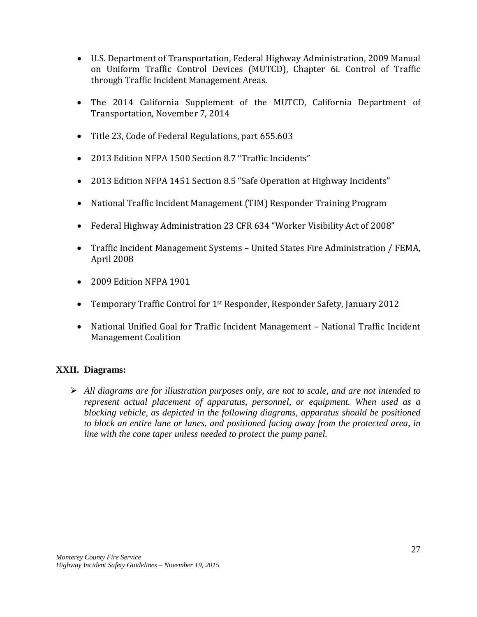- U.S. Department of Transportation, Federal Highway Administration, 2009 Manual on Uniform Traffic Control Devices (MUTCD), Chapter 6i. Control of Traffic through Traffic Incident Management Areas.
- The 2014 California Supplement of the MUTCD, California Department of Transportation, November 7, 2014
- Title 23, Code of Federal Regulations, part 655.603
- 2013 Edition NFPA 1500 Section 8.7 "Traffic Incidents"
- 2013 Edition NFPA 1451 Section 8.5 "Safe Operation at Highway Incidents"
- National Traffic Incident Management (TIM) Responder Training Program
- Federal Highway Administration 23 CFR 634 "Worker Visibility Act of 2008"
- Traffic Incident Management Systems United States Fire Administration / FEMA, April 2008
- 2009 Edition NFPA 1901
- Temporary Traffic Control for 1<sup>st</sup> Responder, Responder Safety, January 2012
- National Unified Goal for Traffic Incident Management National Traffic Incident Management Coalition

#### **XXII. Diagrams:**

 *All diagrams are for illustration purposes only, are not to scale, and are not intended to represent actual placement of apparatus, personnel, or equipment. When used as a blocking vehicle, as depicted in the following diagrams, apparatus should be positioned to block an entire lane or lanes, and positioned facing away from the protected area, in line with the cone taper unless needed to protect the pump panel.*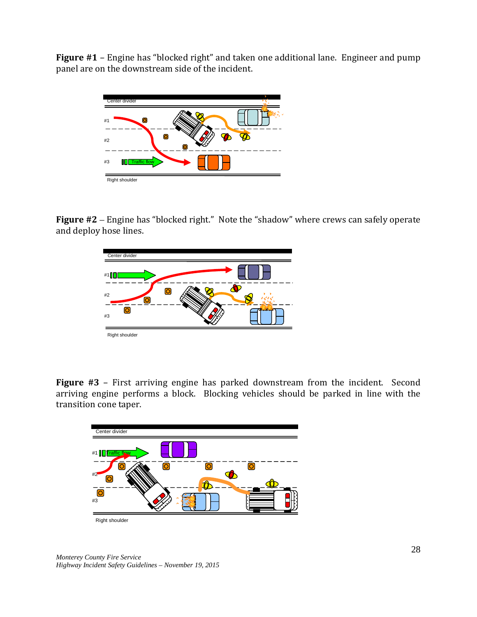**Figure #1** – Engine has "blocked right" and taken one additional lane. Engineer and pump panel are on the downstream side of the incident.



**Figure #2** – Engine has "blocked right." Note the "shadow" where crews can safely operate and deploy hose lines.



**Figure #3** – First arriving engine has parked downstream from the incident. Second arriving engine performs a block. Blocking vehicles should be parked in line with the transition cone taper.

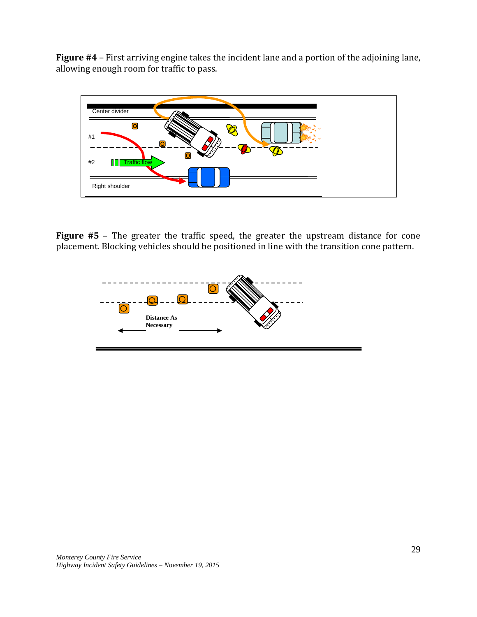**Figure #4** – First arriving engine takes the incident lane and a portion of the adjoining lane, allowing enough room for traffic to pass.



**Figure #5** – The greater the traffic speed, the greater the upstream distance for cone placement. Blocking vehicles should be positioned in line with the transition cone pattern.

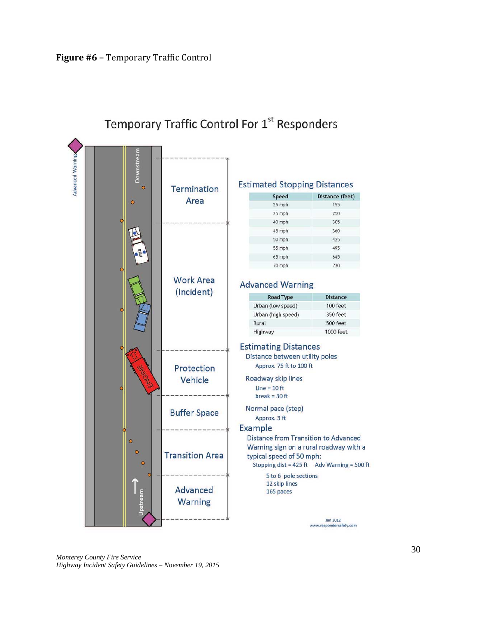

## Temporary Traffic Control For 1st Responders